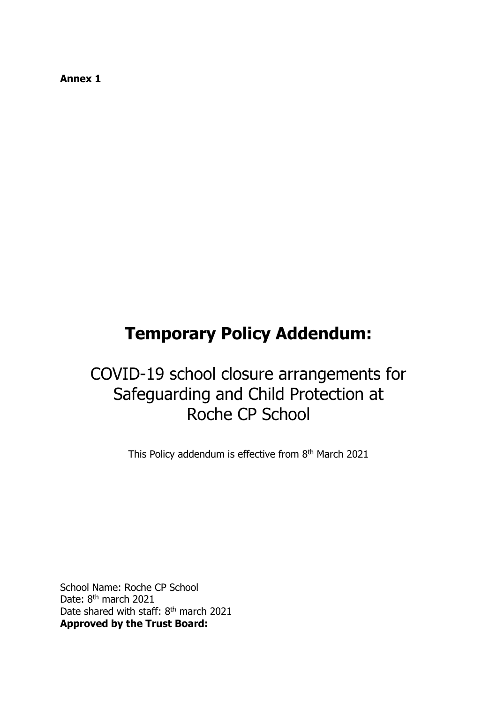**Annex 1**

# **Temporary Policy Addendum:**

# COVID-19 school closure arrangements for Safeguarding and Child Protection at Roche CP School

This Policy addendum is effective from 8<sup>th</sup> March 2021

School Name: Roche CP School Date: 8<sup>th</sup> march 2021 Date shared with staff: 8<sup>th</sup> march 2021 **Approved by the Trust Board:**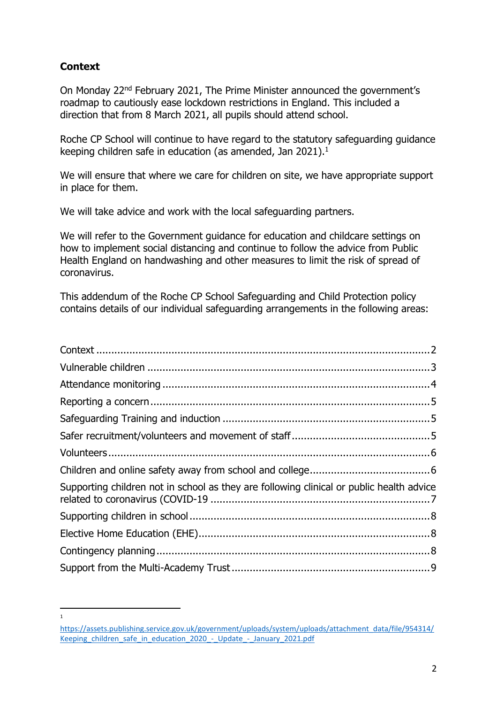# <span id="page-1-0"></span>**Context**

 $\frac{1}{1}$ 

On Monday 22nd February 2021, The Prime Minister announced the government's roadmap to cautiously ease lockdown restrictions in England. This included a direction that from 8 March 2021, all pupils should attend school.

Roche CP School will continue to have regard to the statutory safeguarding guidance keeping children safe in education (as amended, Jan 2021). 1

We will ensure that where we care for children on site, we have appropriate support in place for them.

We will take advice and work with the local safeguarding partners.

We will refer to the Government guidance for education and childcare settings on how to implement social distancing and continue to follow the advice from Public Health England on handwashing and other measures to limit the risk of spread of coronavirus.

This addendum of the Roche CP School Safeguarding and Child Protection policy contains details of our individual safeguarding arrangements in the following areas:

| Supporting children not in school as they are following clinical or public health advice |  |
|------------------------------------------------------------------------------------------|--|
|                                                                                          |  |
|                                                                                          |  |
|                                                                                          |  |
|                                                                                          |  |

[https://assets.publishing.service.gov.uk/government/uploads/system/uploads/attachment\\_data/file/954314/](https://assets.publishing.service.gov.uk/government/uploads/system/uploads/attachment_data/file/954314/Keeping_children_safe_in_education_2020_-_Update_-_January_2021.pdf) Keeping children safe in education 2020 - Update - January 2021.pdf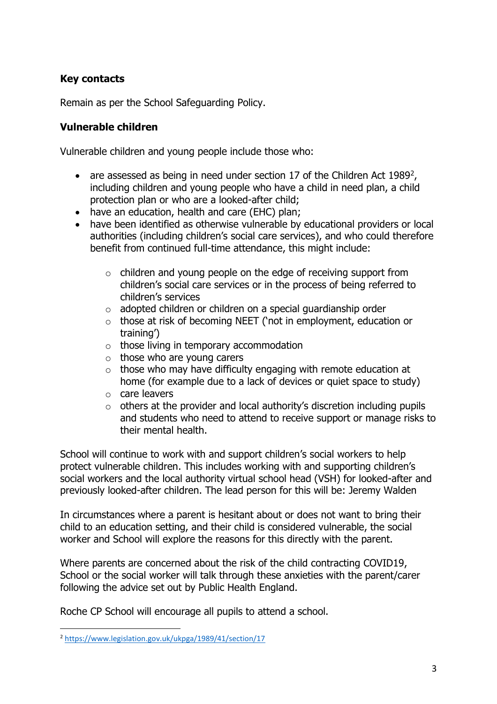## **Key contacts**

Remain as per the School Safeguarding Policy.

#### <span id="page-2-0"></span>**Vulnerable children**

Vulnerable children and young people include those who:

- are assessed as being in need under section 17 of the Children Act 1989<sup>2</sup>, including children and young people who have a child in need plan, a child protection plan or who are a looked-after child;
- have an education, health and care (EHC) plan;
- have been identified as otherwise vulnerable by educational providers or local authorities (including children's social care services), and who could therefore benefit from continued full-time attendance, this might include:
	- o children and young people on the edge of receiving support from children's social care services or in the process of being referred to children's services
	- $\circ$  adopted children or children on a special guardianship order
	- o those at risk of becoming NEET ('not in employment, education or training')
	- $\circ$  those living in temporary accommodation
	- $\circ$  those who are young carers
	- $\circ$  those who may have difficulty engaging with remote education at home (for example due to a lack of devices or quiet space to study)
	- o care leavers
	- $\circ$  others at the provider and local authority's discretion including pupils and students who need to attend to receive support or manage risks to their mental health.

School will continue to work with and support children's social workers to help protect vulnerable children. This includes working with and supporting children's social workers and the local authority virtual school head (VSH) for looked-after and previously looked-after children. The lead person for this will be: Jeremy Walden

In circumstances where a parent is hesitant about or does not want to bring their child to an education setting, and their child is considered vulnerable, the social worker and School will explore the reasons for this directly with the parent.

Where parents are concerned about the risk of the child contracting COVID19, School or the social worker will talk through these anxieties with the parent/carer following the advice set out by Public Health England.

Roche CP School will encourage all pupils to attend a school.

 $\overline{a}$ 

<sup>2</sup> <https://www.legislation.gov.uk/ukpga/1989/41/section/17>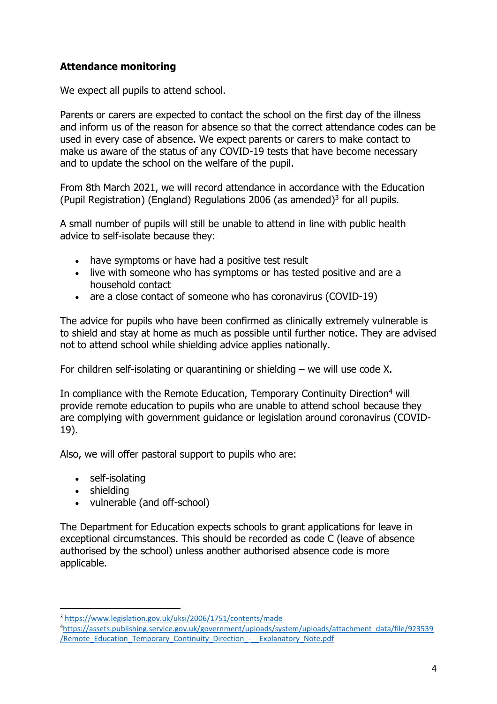# <span id="page-3-0"></span>**Attendance monitoring**

We expect all pupils to attend school.

Parents or carers are expected to contact the school on the first day of the illness and inform us of the reason for absence so that the correct attendance codes can be used in every case of absence. We expect parents or carers to make contact to make us aware of the status of any COVID-19 tests that have become necessary and to update the school on the welfare of the pupil.

From 8th March 2021, we will record attendance in accordance with the Education (Pupil Registration) (England) Regulations 2006 (as amended) $3$  for all pupils.

A small number of pupils will still be unable to attend in line with public health advice to self-isolate because they:

- have symptoms or have had a positive test result
- live with someone who has symptoms or has tested positive and are a household contact
- are a close contact of someone who has coronavirus (COVID-19)

The advice for pupils who have been confirmed as clinically extremely vulnerable is to shield and stay at home as much as possible until further notice. They are advised not to attend school while shielding advice applies nationally.

For children self-isolating or quarantining or shielding – we will use code X.

In compliance with the Remote Education, Temporary Continuity Direction<sup>4</sup> will provide remote education to pupils who are unable to attend school because they are complying with government guidance or legislation around coronavirus (COVID-19).

Also, we will offer pastoral support to pupils who are:

- self-isolating
- shielding

 $\overline{a}$ 

vulnerable (and off-school)

The Department for Education expects schools to grant applications for leave in exceptional circumstances. This should be recorded as code C (leave of absence authorised by the school) unless another authorised absence code is more applicable.

<sup>3</sup> <https://www.legislation.gov.uk/uksi/2006/1751/contents/made>

<sup>4</sup>[https://assets.publishing.service.gov.uk/government/uploads/system/uploads/attachment\\_data/file/923539](https://assets.publishing.service.gov.uk/government/uploads/system/uploads/attachment_data/file/923539/Remote_Education_Temporary_Continuity_Direction_-__Explanatory_Note.pdf) /Remote Education Temporary Continuity Direction - Explanatory Note.pdf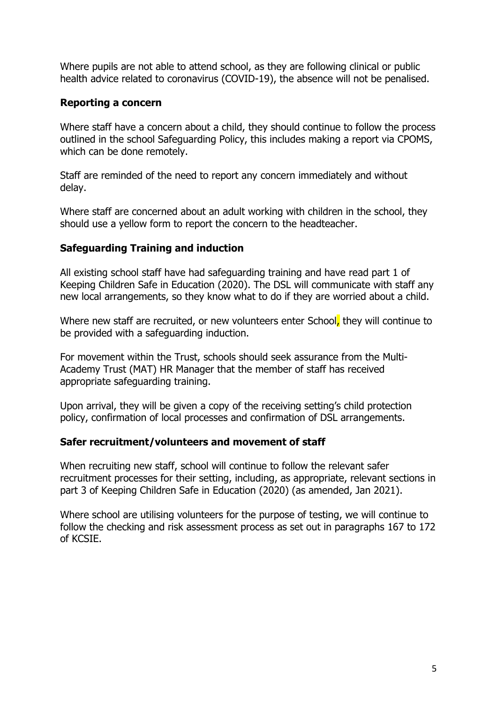Where pupils are not able to attend school, as they are following clinical or public health advice related to coronavirus (COVID-19), the absence will not be penalised.

#### <span id="page-4-0"></span>**Reporting a concern**

Where staff have a concern about a child, they should continue to follow the process outlined in the school Safeguarding Policy, this includes making a report via CPOMS, which can be done remotely.

Staff are reminded of the need to report any concern immediately and without delay.

Where staff are concerned about an adult working with children in the school, they should use a yellow form to report the concern to the headteacher.

### <span id="page-4-1"></span>**Safeguarding Training and induction**

All existing school staff have had safeguarding training and have read part 1 of Keeping Children Safe in Education (2020). The DSL will communicate with staff any new local arrangements, so they know what to do if they are worried about a child.

Where new staff are recruited, or new volunteers enter School, they will continue to be provided with a safeguarding induction.

For movement within the Trust, schools should seek assurance from the Multi-Academy Trust (MAT) HR Manager that the member of staff has received appropriate safeguarding training.

Upon arrival, they will be given a copy of the receiving setting's child protection policy, confirmation of local processes and confirmation of DSL arrangements.

#### <span id="page-4-2"></span>**Safer recruitment/volunteers and movement of staff**

When recruiting new staff, school will continue to follow the relevant safer recruitment processes for their setting, including, as appropriate, relevant sections in part 3 of Keeping Children Safe in Education (2020) (as amended, Jan 2021).

Where school are utilising volunteers for the purpose of testing, we will continue to follow the checking and risk assessment process as set out in paragraphs 167 to 172 of KCSIE.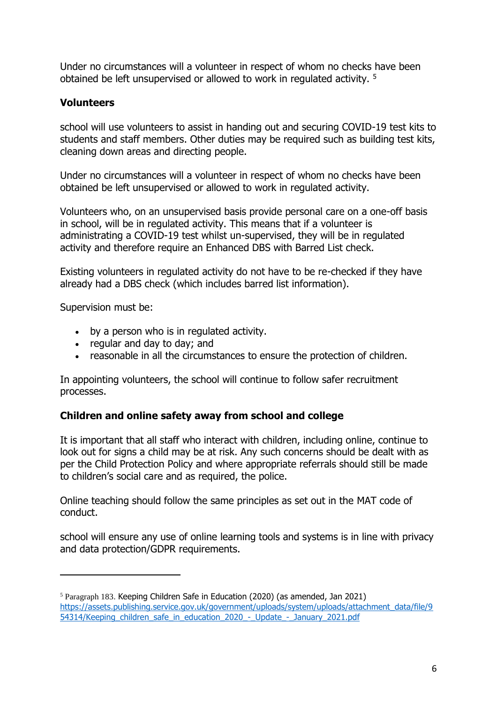Under no circumstances will a volunteer in respect of whom no checks have been obtained be left unsupervised or allowed to work in regulated activity. <sup>5</sup>

#### <span id="page-5-0"></span>**Volunteers**

school will use volunteers to assist in handing out and securing COVID-19 test kits to students and staff members. Other duties may be required such as building test kits, cleaning down areas and directing people.

Under no circumstances will a volunteer in respect of whom no checks have been obtained be left unsupervised or allowed to work in regulated activity.

Volunteers who, on an unsupervised basis provide personal care on a one-off basis in school, will be in regulated activity. This means that if a volunteer is administrating a COVID-19 test whilst un-supervised, they will be in regulated activity and therefore require an Enhanced DBS with Barred List check.

Existing volunteers in regulated activity do not have to be re-checked if they have already had a DBS check (which includes barred list information).

Supervision must be:

 $\overline{a}$ 

- by a person who is in regulated activity.
- regular and day to day; and
- reasonable in all the circumstances to ensure the protection of children.

In appointing volunteers, the school will continue to follow safer recruitment processes.

#### <span id="page-5-1"></span>**Children and online safety away from school and college**

It is important that all staff who interact with children, including online, continue to look out for signs a child may be at risk. Any such concerns should be dealt with as per the Child Protection Policy and where appropriate referrals should still be made to children's social care and as required, the police.

Online teaching should follow the same principles as set out in the MAT code of conduct.

school will ensure any use of online learning tools and systems is in line with privacy and data protection/GDPR requirements.

<sup>5</sup> Paragraph 183. Keeping Children Safe in Education (2020) (as amended, Jan 2021) [https://assets.publishing.service.gov.uk/government/uploads/system/uploads/attachment\\_data/file/9](https://assets.publishing.service.gov.uk/government/uploads/system/uploads/attachment_data/file/954314/Keeping_children_safe_in_education_2020_-_Update_-_January_2021.pdf) [54314/Keeping\\_children\\_safe\\_in\\_education\\_2020\\_-\\_Update\\_-\\_January\\_2021.pdf](https://assets.publishing.service.gov.uk/government/uploads/system/uploads/attachment_data/file/954314/Keeping_children_safe_in_education_2020_-_Update_-_January_2021.pdf)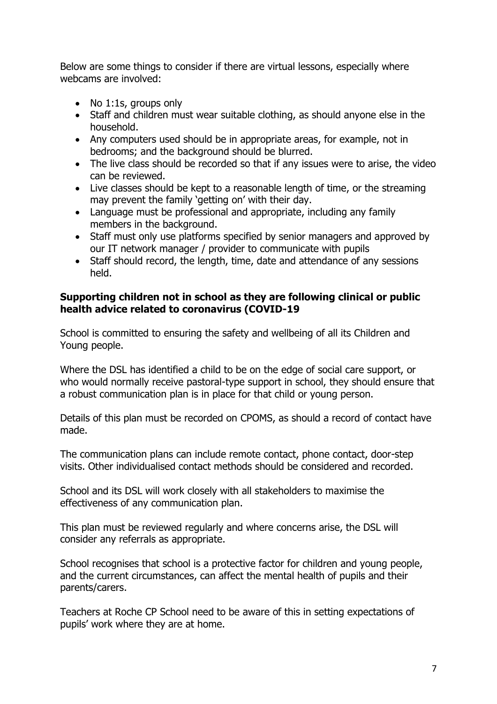Below are some things to consider if there are virtual lessons, especially where webcams are involved:

- No 1:1s, groups only
- Staff and children must wear suitable clothing, as should anyone else in the household.
- Any computers used should be in appropriate areas, for example, not in bedrooms; and the background should be blurred.
- The live class should be recorded so that if any issues were to arise, the video can be reviewed.
- Live classes should be kept to a reasonable length of time, or the streaming may prevent the family 'getting on' with their day.
- Language must be professional and appropriate, including any family members in the background.
- Staff must only use platforms specified by senior managers and approved by our IT network manager / provider to communicate with pupils
- Staff should record, the length, time, date and attendance of any sessions held.

#### <span id="page-6-0"></span>**Supporting children not in school as they are following clinical or public health advice related to coronavirus (COVID-19**

School is committed to ensuring the safety and wellbeing of all its Children and Young people.

Where the DSL has identified a child to be on the edge of social care support, or who would normally receive pastoral-type support in school, they should ensure that a robust communication plan is in place for that child or young person.

Details of this plan must be recorded on CPOMS, as should a record of contact have made.

The communication plans can include remote contact, phone contact, door-step visits. Other individualised contact methods should be considered and recorded.

School and its DSL will work closely with all stakeholders to maximise the effectiveness of any communication plan.

This plan must be reviewed regularly and where concerns arise, the DSL will consider any referrals as appropriate.

School recognises that school is a protective factor for children and young people, and the current circumstances, can affect the mental health of pupils and their parents/carers.

Teachers at Roche CP School need to be aware of this in setting expectations of pupils' work where they are at home.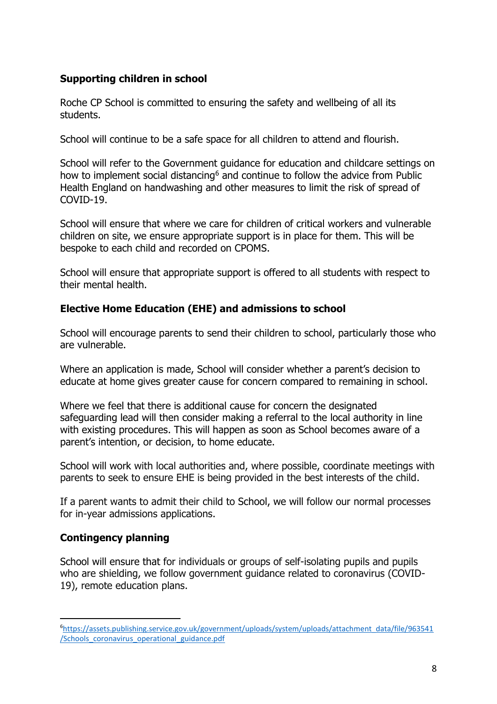## <span id="page-7-0"></span>**Supporting children in school**

Roche CP School is committed to ensuring the safety and wellbeing of all its students.

School will continue to be a safe space for all children to attend and flourish.

School will refer to the Government guidance for education and childcare settings on how to implement social distancing<sup>6</sup> and continue to follow the advice from Public Health England on handwashing and other measures to limit the risk of spread of COVID-19.

School will ensure that where we care for children of critical workers and vulnerable children on site, we ensure appropriate support is in place for them. This will be bespoke to each child and recorded on CPOMS.

School will ensure that appropriate support is offered to all students with respect to their mental health.

### <span id="page-7-1"></span>**Elective Home Education (EHE) and admissions to school**

School will encourage parents to send their children to school, particularly those who are vulnerable.

Where an application is made, School will consider whether a parent's decision to educate at home gives greater cause for concern compared to remaining in school.

Where we feel that there is additional cause for concern the designated safeguarding lead will then consider making a referral to the local authority in line with existing procedures. This will happen as soon as School becomes aware of a parent's intention, or decision, to home educate.

School will work with local authorities and, where possible, coordinate meetings with parents to seek to ensure EHE is being provided in the best interests of the child.

If a parent wants to admit their child to School, we will follow our normal processes for in-year admissions applications.

#### <span id="page-7-2"></span>**Contingency planning**

 $\overline{a}$ 

School will ensure that for individuals or groups of self-isolating pupils and pupils who are shielding, we follow government guidance related to coronavirus (COVID-19), remote education plans.

<sup>6</sup>[https://assets.publishing.service.gov.uk/government/uploads/system/uploads/attachment\\_data/file/963541](https://assets.publishing.service.gov.uk/government/uploads/system/uploads/attachment_data/file/963541/Schools_coronavirus_operational_guidance.pdf) [/Schools\\_coronavirus\\_operational\\_guidance.pdf](https://assets.publishing.service.gov.uk/government/uploads/system/uploads/attachment_data/file/963541/Schools_coronavirus_operational_guidance.pdf)